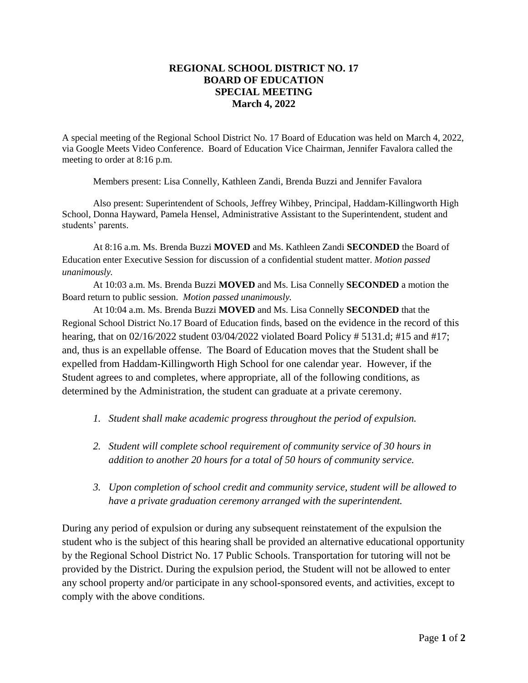## **REGIONAL SCHOOL DISTRICT NO. 17 BOARD OF EDUCATION SPECIAL MEETING March 4, 2022**

A special meeting of the Regional School District No. 17 Board of Education was held on March 4, 2022, via Google Meets Video Conference. Board of Education Vice Chairman, Jennifer Favalora called the meeting to order at 8:16 p.m.

Members present: Lisa Connelly, Kathleen Zandi, Brenda Buzzi and Jennifer Favalora

Also present: Superintendent of Schools, Jeffrey Wihbey, Principal, Haddam-Killingworth High School, Donna Hayward, Pamela Hensel, Administrative Assistant to the Superintendent, student and students' parents.

At 8:16 a.m. Ms. Brenda Buzzi **MOVED** and Ms. Kathleen Zandi **SECONDED** the Board of Education enter Executive Session for discussion of a confidential student matter. *Motion passed unanimously.*

At 10:03 a.m. Ms. Brenda Buzzi **MOVED** and Ms. Lisa Connelly **SECONDED** a motion the Board return to public session. *Motion passed unanimously.* 

At 10:04 a.m. Ms. Brenda Buzzi **MOVED** and Ms. Lisa Connelly **SECONDED** that the Regional School District No.17 Board of Education finds, based on the evidence in the record of this hearing, that on 02/16/2022 student 03/04/2022 violated Board Policy # 5131.d; #15 and #17; and, thus is an expellable offense. The Board of Education moves that the Student shall be expelled from Haddam-Killingworth High School for one calendar year. However, if the Student agrees to and completes, where appropriate, all of the following conditions, as determined by the Administration, the student can graduate at a private ceremony.

- *1. Student shall make academic progress throughout the period of expulsion.*
- *2. Student will complete school requirement of community service of 30 hours in addition to another 20 hours for a total of 50 hours of community service.*
- *3. Upon completion of school credit and community service, student will be allowed to have a private graduation ceremony arranged with the superintendent.*

During any period of expulsion or during any subsequent reinstatement of the expulsion the student who is the subject of this hearing shall be provided an alternative educational opportunity by the Regional School District No. 17 Public Schools. Transportation for tutoring will not be provided by the District. During the expulsion period, the Student will not be allowed to enter any school property and/or participate in any school-sponsored events, and activities, except to comply with the above conditions.